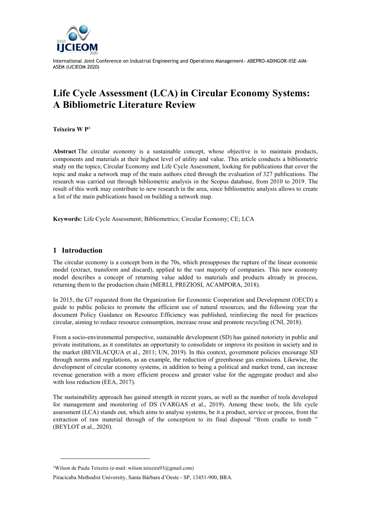

# **Life Cycle Assessment (LCA) in Circular Economy Systems: A Bibliometric Literature Review**

**Teixeira W P<sup>1</sup>**

**Abstract** The circular economy is a sustainable concept, whose objective is to maintain products, components and materials at their highest level of utility and value. This article conducts a bibliometric study on the topics; Circular Economy and Life Cycle Assessment, looking for publications that cover the topic and make a network map of the main authors cited through the evaluation of 327 publications. The research was carried out through bibliometric analysis in the Scopus database, from 2010 to 2019. The result of this work may contribute to new research in the area, since bibliometric analysis allows to create a list of the main publications based on building a network map.

**Keywords:** Life Cycle Assessment; Bibliometrics; Circular Economy; CE; LCA

#### **1 Introduction**

l

The circular economy is a concept born in the 70s, which presupposes the rupture of the linear economic model (extract, transform and discard), applied to the vast majority of companies. This new economy model describes a concept of returning value added to materials and products already in process, returning them to the production chain (MERLI, PREZIOSI, ACAMPORA, 2018).

In 2015, the G7 requested from the Organization for Economic Cooperation and Development (OECD) a guide to public policies to promote the efficient use of natural resources, and the following year the document Policy Guidance on Resource Efficiency was published, reinforcing the need for practices circular, aiming to reduce resource consumption, increase reuse and promote recycling (CNI, 2018).

From a socio-environmental perspective, sustainable development (SD) has gained notoriety in public and private institutions, as it constitutes an opportunity to consolidate or improve its position in society and in the market (BEVILACQUA et al., 2011; UN, 2019). In this context, government policies encourage SD through norms and regulations, as an example, the reduction of greenhouse gas emissions. Likewise, the development of circular economy systems, in addition to being a political and market trend, can increase revenue generation with a more efficient process and greater value for the aggregate product and also with loss reduction (EEA, 2017).

The sustainability approach has gained strength in recent years, as well as the number of tools developed for management and monitoring of DS (VARGAS et al., 2019). Among these tools, the life cycle assessment (LCA) stands out, which aims to analyse systems, be it a product, service or process, from the extraction of raw material through of the conception to its final disposal "from cradle to tomb " (BEYLOT et al., 2020).

<sup>&</sup>lt;sup>1</sup>Wilson de Paula Teixeira (e-mail: wilson.teixeira $93@$ gmail.com)

Piracicaba Methodist University, Santa Bárbara d'Oeste - SP, 13451-900, BRA.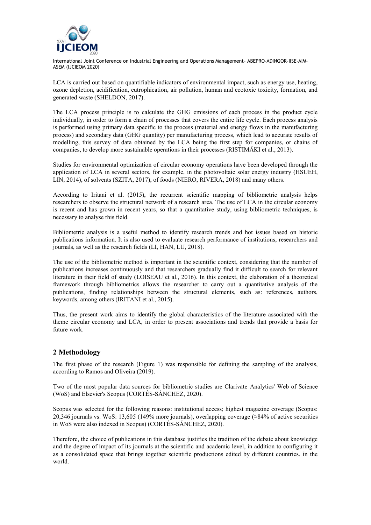

LCA is carried out based on quantifiable indicators of environmental impact, such as energy use, heating, ozone depletion, acidification, eutrophication, air pollution, human and ecotoxic toxicity, formation, and generated waste (SHELDON, 2017).

The LCA process principle is to calculate the GHG emissions of each process in the product cycle individually, in order to form a chain of processes that covers the entire life cycle. Each process analysis is performed using primary data specific to the process (material and energy flows in the manufacturing process) and secondary data (GHG quantity) per manufacturing process, which lead to accurate results of modelling, this survey of data obtained by the LCA being the first step for companies, or chains of companies, to develop more sustainable operations in their processes (RISTIMÄKI et al., 2013).

Studies for environmental optimization of circular economy operations have been developed through the application of LCA in several sectors, for example, in the photovoltaic solar energy industry (HSUEH, LIN, 2014), of solvents (SZITA, 2017), of foods (NIERO, RIVERA, 2018) and many others.

According to Iritani et al. (2015), the recurrent scientific mapping of bibliometric analysis helps researchers to observe the structural network of a research area. The use of LCA in the circular economy is recent and has grown in recent years, so that a quantitative study, using bibliometric techniques, is necessary to analyse this field.

Bibliometric analysis is a useful method to identify research trends and hot issues based on historic publications information. It is also used to evaluate research performance of institutions, researchers and journals, as well as the research fields (LI, HAN, LU, 2018).

The use of the bibliometric method is important in the scientific context, considering that the number of publications increases continuously and that researchers gradually find it difficult to search for relevant literature in their field of study (LOISEAU et al., 2016). In this context, the elaboration of a theoretical framework through bibliometrics allows the researcher to carry out a quantitative analysis of the publications, finding relationships between the structural elements, such as: references, authors, keywords, among others (IRITANI et al., 2015).

Thus, the present work aims to identify the global characteristics of the literature associated with the theme circular economy and LCA, in order to present associations and trends that provide a basis for future work.

## **2 Methodology**

The first phase of the research (Figure 1) was responsible for defining the sampling of the analysis, according to Ramos and Oliveira (2019).

Two of the most popular data sources for bibliometric studies are Clarivate Analytics' Web of Science (WoS) and Elsevier's Scopus (CORTÉS-SÁNCHEZ, 2020).

Scopus was selected for the following reasons: institutional access; highest magazine coverage (Scopus: 20,346 journals vs. WoS: 13,605 (149% more journals), overlapping coverage (≈84% of active securities in WoS were also indexed in Scopus) (CORTÉS-SÁNCHEZ, 2020).

Therefore, the choice of publications in this database justifies the tradition of the debate about knowledge and the degree of impact of its journals at the scientific and academic level, in addition to configuring it as a consolidated space that brings together scientific productions edited by different countries. in the world.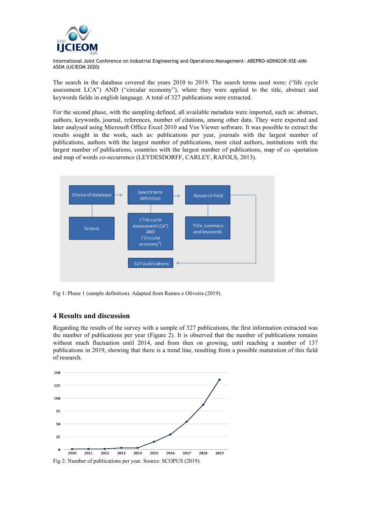

The search in the database covered the years 2010 to 2019. The search terms used were: ("life cycle assessment LCA") AND ("circular economy"), where they were applied to the title, abstract and keywords fields in english language. A total of 327 publications were extracted.

For the second phase, with the sampling defined, all available metadata were imported, such as: abstract, authors, keywords, journal, references, number of citations, among other data. They were exported and later analysed using Microsoft Office Excel 2010 and Vos Viewer software. It was possible to extract the results sought in the work, such as: publications per year, journals with the largest number of publications, authors with the largest number of publications, most cited authors, institutions with the largest number of publications, countries with the largest number of publications, map of co -quotation and map of words co-occurrence (LEYDESDORFF, CARLEY, RAFOLS, 2013).



Fig 1: Phase 1 (sample definition). Adapted from Ramos e Oliveira (2019).

### **4 Results and discussion**

Regarding the results of the survey with a sample of 327 publications, the first information extracted was the number of publications per year (Figure 2). It is observed that the number of publications remains without much fluctuation until 2014, and from then on growing, until reaching a number of 137 publications in 2019, showing that there is a trend line, resulting from a possible maturation of this field of research.

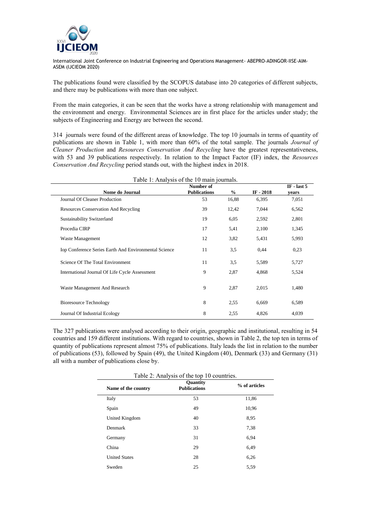

The publications found were classified by the SCOPUS database into 20 categories of different subjects, and there may be publications with more than one subject.

From the main categories, it can be seen that the works have a strong relationship with management and the environment and energy. Environmental Sciences are in first place for the articles under study; the subjects of Engineering and Energy are between the second.

314 journals were found of the different areas of knowledge. The top 10 journals in terms of quantity of publications are shown in Table 1, with more than 60% of the total sample. The journals *Journal of Cleaner Production* and *Resources Conservation And Recycling* have the greatest representativeness, with 53 and 39 publications respectively. In relation to the Impact Factor (IF) index, the *Resources Conservation And Recycling* period stands out, with the highest index in 2018.

| Table 1: Analysis of the 10 main journals.<br>Number of |                     |       |            |       |
|---------------------------------------------------------|---------------------|-------|------------|-------|
| Nome do Journal                                         | <b>Publications</b> | $\%$  | IF $-2018$ | vears |
| Journal Of Cleaner Production                           | 53                  | 16,88 | 6,395      | 7,051 |
| <b>Resources Conservation And Recycling</b>             | 39                  | 12,42 | 7,044      | 6,562 |
| Sustainability Switzerland                              | 19                  | 6,05  | 2,592      | 2,801 |
| Procedia CIRP                                           | 17                  | 5,41  | 2,100      | 1,345 |
| Waste Management                                        | 12                  | 3,82  | 5,431      | 5,993 |
| Iop Conference Series Earth And Environmental Science   | 11                  | 3.5   | 0.44       | 0,23  |
| Science Of The Total Environment                        | 11                  | 3,5   | 5,589      | 5,727 |
| International Journal Of Life Cycle Assessment          | 9                   | 2,87  | 4,868      | 5,524 |
| Waste Management And Research                           | 9                   | 2,87  | 2,015      | 1,480 |
| <b>Bioresource Technology</b>                           | 8                   | 2,55  | 6,669      | 6,589 |
| Journal Of Industrial Ecology                           | 8                   | 2,55  | 4,826      | 4,039 |

The 327 publications were analysed according to their origin, geographic and institutional, resulting in 54 countries and 159 different institutions. With regard to countries, shown in Table 2, the top ten in terms of quantity of publications represent almost 75% of publications. Italy leads the list in relation to the number of publications (53), followed by Spain (49), the United Kingdom (40), Denmark (33) and Germany (31) all with a number of publications close by.

| Table 2: Analysis of the top 10 countries. |               |  |  |
|--------------------------------------------|---------------|--|--|
| Quantity<br><b>Publications</b>            | % of articles |  |  |
| 53                                         | 11,86         |  |  |
| 49                                         | 10,96         |  |  |
| 40                                         | 8.95          |  |  |
| 33                                         | 7,38          |  |  |
| 31                                         | 6.94          |  |  |
| 29                                         | 6.49          |  |  |
| 28                                         | 6,26          |  |  |
| 25                                         | 5,59          |  |  |
|                                            |               |  |  |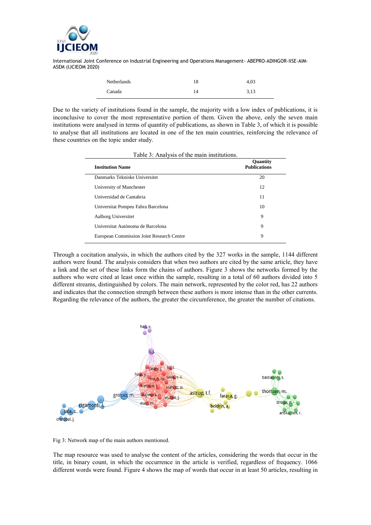

| Netherlands | 18 | 4.03 |
|-------------|----|------|
| Canada      | 14 | 3,13 |

Due to the variety of institutions found in the sample, the majority with a low index of publications, it is inconclusive to cover the most representative portion of them. Given the above, only the seven main institutions were analysed in terms of quantity of publications, as shown in Table 3, of which it is possible to analyse that all institutions are located in one of the ten main countries, reinforcing the relevance of these countries on the topic under study.

| <b>Institution Name</b>                   | Quantity<br><b>Publications</b> |
|-------------------------------------------|---------------------------------|
| Danmarks Tekniske Universitet             | 20                              |
| University of Manchester                  | 12                              |
| Universidad de Cantabria                  | 11                              |
| Universitat Pompeu Fabra Barcelona        | 10                              |
| Aalborg Universitet                       | 9                               |
| Universitat Autònoma de Barcelona         | 9                               |
| European Commission Joint Research Centre | 9                               |

Table 3: Analysis of the main institutions.

Through a cocitation analysis, in which the authors cited by the 327 works in the sample, 1144 different authors were found. The analysis considers that when two authors are cited by the same article, they have a link and the set of these links form the chains of authors. Figure 3 shows the networks formed by the authors who were cited at least once within the sample, resulting in a total of 60 authors divided into 5 different streams, distinguished by colors. The main network, represented by the color red, has 22 authors and indicates that the connection strength between these authors is more intense than in the other currents. Regarding the relevance of the authors, the greater the circumference, the greater the number of citations.



Fig 3: Network map of the main authors mentioned.

The map resource was used to analyse the content of the articles, considering the words that occur in the title, in binary count, in which the occurrence in the article is verified, regardless of frequency. 1066 different words were found. Figure 4 shows the map of words that occur in at least 50 articles, resulting in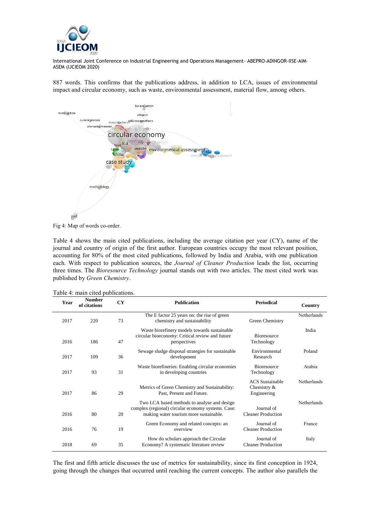

887 words. This confirms that the publications address, in addition to LCA, issues of environmental impact and circular economy, such as waste, environmental assessment, material flow, among others.





Table 4 shows the main cited publications, including the average citation per year (CY), name of the journal and country of origin of the first author. European countries occupy the most relevant position, accounting for 80% of the most cited publications, followed by India and Arabia, with one publication each. With respect to publication sources, the *Journal of Cleaner Production* leads the list, occurring three times. The *Bioresource Technology* journal stands out with two articles. The most cited work was published by *Green Chemistry*.

|  |  |  | Table 4: main cited publications. |
|--|--|--|-----------------------------------|
|--|--|--|-----------------------------------|

| Year | <b>Number</b><br>of citations | <b>CY</b> | <b>Publication</b>                                                                                                                          | <b>Periodical</b>                                    | Country     |
|------|-------------------------------|-----------|---------------------------------------------------------------------------------------------------------------------------------------------|------------------------------------------------------|-------------|
| 2017 | 220                           | 73        | The E factor 25 years on: the rise of green<br>chemistry and sustainability                                                                 | Green Chemistry                                      | Netherlands |
| 2016 | 186                           | 47        | Waste biorefinery models towards sustainable<br>circular bioeconomy: Critical review and future<br>perspectives                             | <b>Bioresource</b><br>Technology                     | India       |
| 2017 | 109                           | 36        | Sewage sludge disposal strategies for sustainable<br>development                                                                            | Environmental<br>Research                            | Poland      |
| 2017 | 93                            | 31        | Waste biorefineries: Enabling circular economies<br>in developing countries                                                                 | <b>Bioresource</b><br>Technology                     | Arabia      |
| 2017 | 86                            | 29        | Metrics of Green Chemistry and Sustainability:<br>Past, Present and Future.                                                                 | <b>ACS</b> Sustainable<br>Chemistry &<br>Engineering | Netherlands |
| 2016 | 80                            | 20        | Two LCA based methods to analyse and design<br>complex (regional) circular economy systems. Case:<br>making water tourism more sustainable. | Journal of<br><b>Cleaner Production</b>              | Netherlands |
| 2016 | 76                            | 19        | Green Economy and related concepts: an<br>overview                                                                                          | Journal of<br><b>Cleaner Production</b>              | France      |
| 2018 | 69                            | 35        | How do scholars approach the Circular<br>Economy? A systematic literature review                                                            | Journal of<br><b>Cleaner Production</b>              | Italy       |

The first and fifth article discusses the use of metrics for sustainability, since its first conception in 1924, going through the changes that occurred until reaching the current concepts. The author also parallels the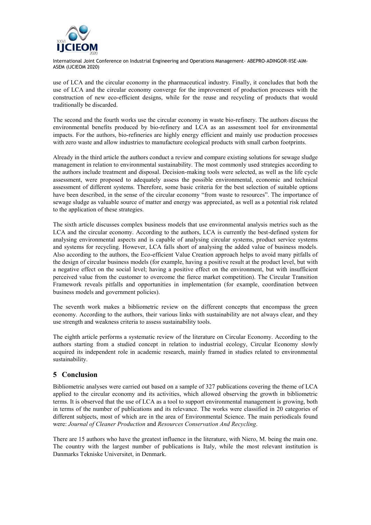

use of LCA and the circular economy in the pharmaceutical industry. Finally, it concludes that both the use of LCA and the circular economy converge for the improvement of production processes with the construction of new eco-efficient designs, while for the reuse and recycling of products that would traditionally be discarded.

The second and the fourth works use the circular economy in waste bio-refinery. The authors discuss the environmental benefits produced by bio-refinery and LCA as an assessment tool for environmental impacts. For the authors, bio-refineries are highly energy efficient and mainly use production processes with zero waste and allow industries to manufacture ecological products with small carbon footprints.

Already in the third article the authors conduct a review and compare existing solutions for sewage sludge management in relation to environmental sustainability. The most commonly used strategies according to the authors include treatment and disposal. Decision-making tools were selected, as well as the life cycle assessment, were proposed to adequately assess the possible environmental, economic and technical assessment of different systems. Therefore, some basic criteria for the best selection of suitable options have been described, in the sense of the circular economy "from waste to resources". The importance of sewage sludge as valuable source of matter and energy was appreciated, as well as a potential risk related to the application of these strategies.

The sixth article discusses complex business models that use environmental analysis metrics such as the LCA and the circular economy. According to the authors, LCA is currently the best-defined system for analysing environmental aspects and is capable of analysing circular systems, product service systems and systems for recycling. However, LCA falls short of analysing the added value of business models. Also according to the authors, the Eco-efficient Value Creation approach helps to avoid many pitfalls of the design of circular business models (for example, having a positive result at the product level, but with a negative effect on the social level; having a positive effect on the environment, but with insufficient perceived value from the customer to overcome the fierce market competition). The Circular Transition Framework reveals pitfalls and opportunities in implementation (for example, coordination between business models and government policies).

The seventh work makes a bibliometric review on the different concepts that encompass the green economy. According to the authors, their various links with sustainability are not always clear, and they use strength and weakness criteria to assess sustainability tools.

The eighth article performs a systematic review of the literature on Circular Economy. According to the authors starting from a studied concept in relation to industrial ecology, Circular Economy slowly acquired its independent role in academic research, mainly framed in studies related to environmental sustainability.

### **5 Conclusion**

Bibliometric analyses were carried out based on a sample of 327 publications covering the theme of LCA applied to the circular economy and its activities, which allowed observing the growth in bibliometric terms. It is observed that the use of LCA as a tool to support environmental management is growing, both in terms of the number of publications and its relevance. The works were classified in 20 categories of different subjects, most of which are in the area of Environmental Science. The main periodicals found were: *Journal of Cleaner Production* and *Resources Conservation And Recycling*.

There are 15 authors who have the greatest influence in the literature, with Niero, M. being the main one. The country with the largest number of publications is Italy, while the most relevant institution is Danmarks Tekniske Universitet, in Denmark.